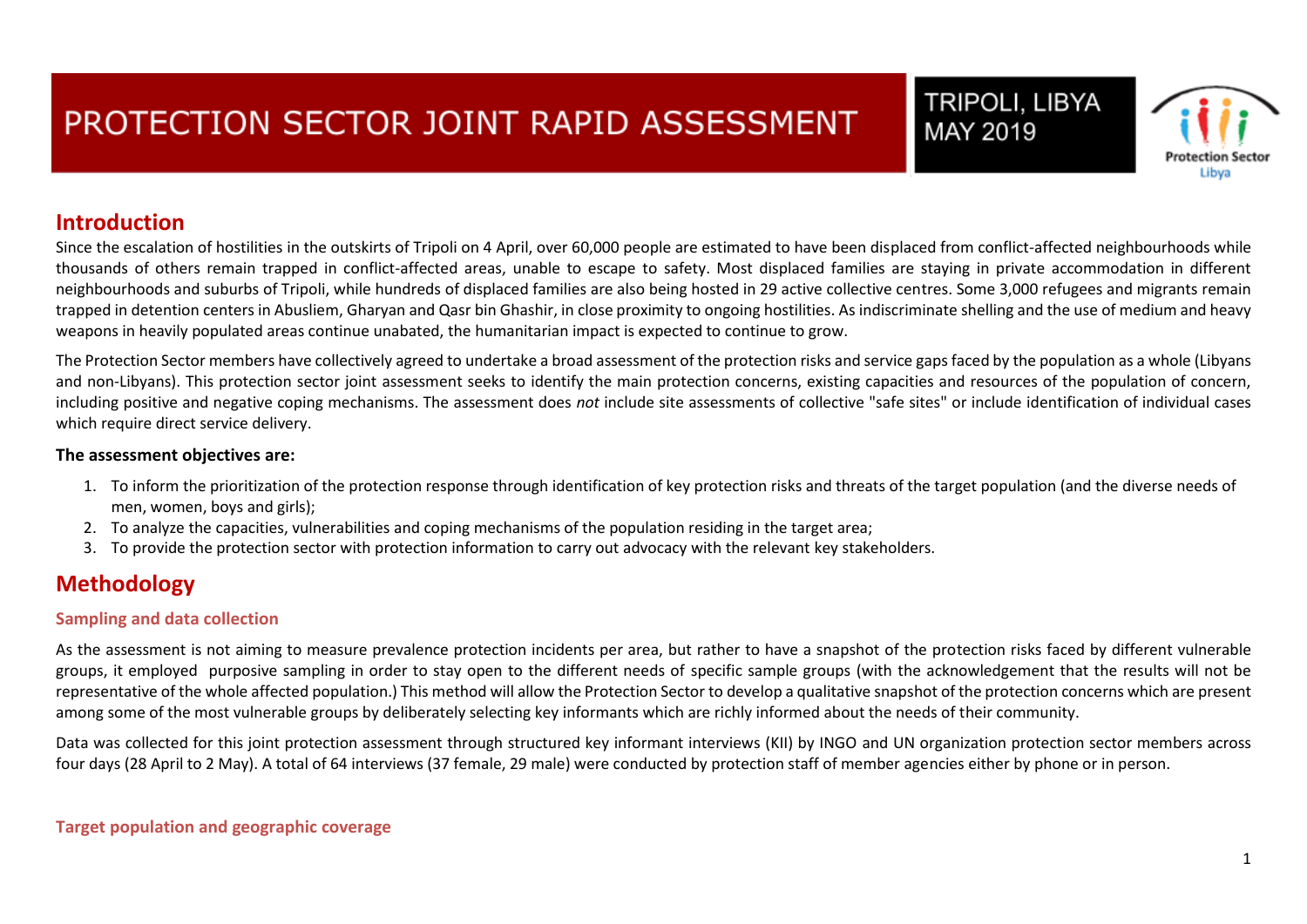### TRIPOLI, LIBYA MAY 2019



### **Introduction**

Since the escalation of hostilities in the outskirts of Tripoli on 4 April, over 60,000 people are estimated to have been displaced from conflict-affected neighbourhoods while thousands of others remain trapped in conflict-affected areas, unable to escape to safety. Most displaced families are staying in private accommodation in different neighbourhoods and suburbs of Tripoli, while hundreds of displaced families are also being hosted in 29 active collective centres. Some 3,000 refugees and migrants remain trapped in detention centers in Abusliem, Gharyan and Qasr bin Ghashir, in close proximity to ongoing hostilities. As indiscriminate shelling and the use of medium and heavy weapons in heavily populated areas continue unabated, the humanitarian impact is expected to continue to grow.

The Protection Sector members have collectively agreed to undertake a broad assessment of the protection risks and service gaps faced by the population as a whole (Libyans and non-Libyans). This protection sector joint assessment seeks to identify the main protection concerns, existing capacities and resources of the population of concern, including positive and negative coping mechanisms. The assessment does *not* include site assessments of collective "safe sites" or include identification of individual cases which require direct service delivery.

#### **The assessment objectives are:**

- 1. To inform the prioritization of the protection response through identification of key protection risks and threats of the target population (and the diverse needs of men, women, boys and girls);
- 2. To analyze the capacities, vulnerabilities and coping mechanisms of the population residing in the target area;
- 3. To provide the protection sector with protection information to carry out advocacy with the relevant key stakeholders.

### **Methodology**

#### **Sampling and data collection**

As the assessment is not aiming to measure prevalence protection incidents per area, but rather to have a snapshot of the protection risks faced by different vulnerable groups, it employed purposive sampling in order to stay open to the different needs of specific sample groups (with the acknowledgement that the results will not be representative of the whole affected population.) This method will allow the Protection Sector to develop a qualitative snapshot of the protection concerns which are present among some of the most vulnerable groups by deliberately selecting key informants which are richly informed about the needs of their community.

Data was collected for this joint protection assessment through structured key informant interviews (KII) by INGO and UN organization protection sector members across four days (28 April to 2 May). A total of 64 interviews (37 female, 29 male) were conducted by protection staff of member agencies either by phone or in person.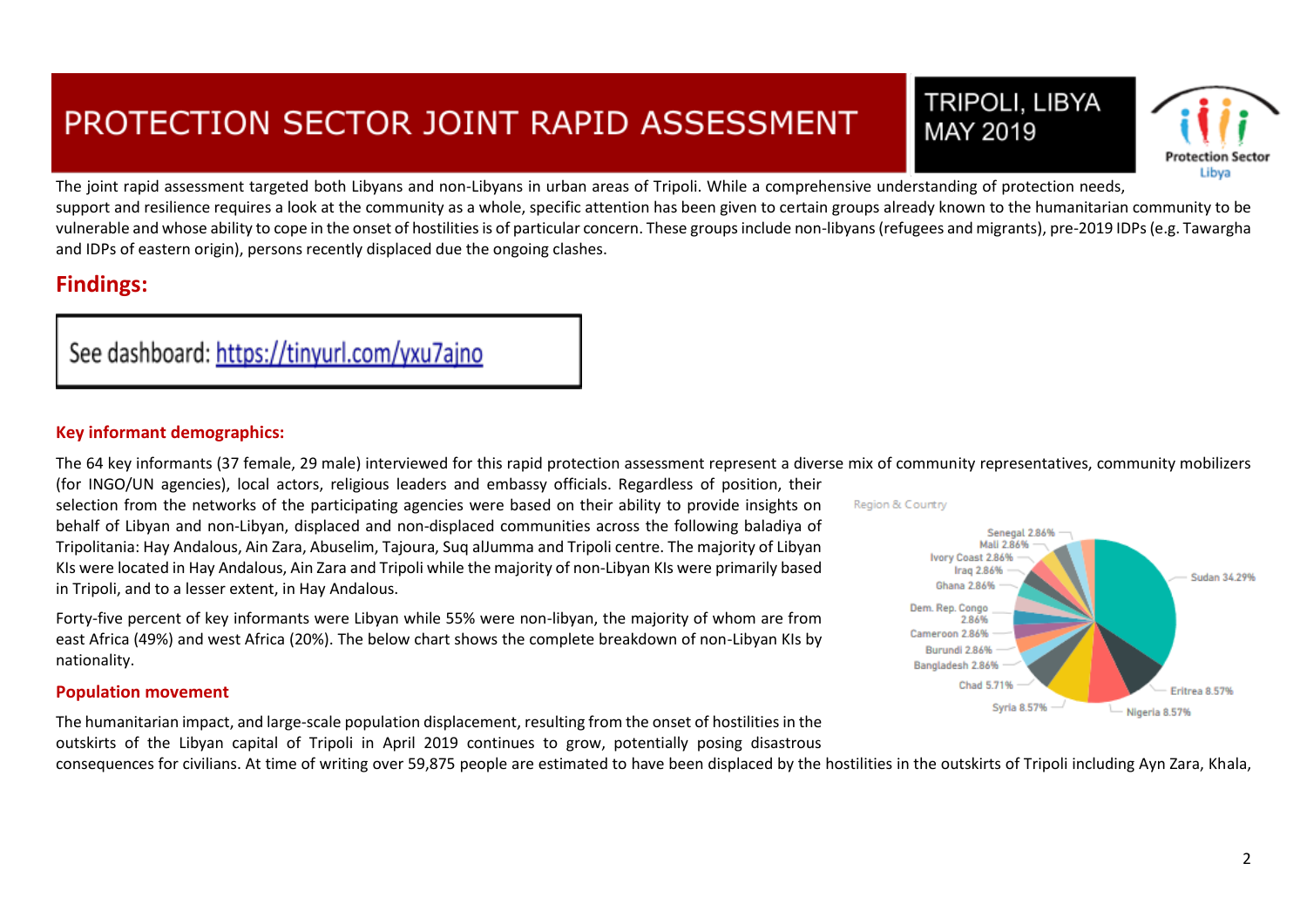**TRIPOLI, LIBYA** MAY 2019



The joint rapid assessment targeted both Libyans and non-Libyans in urban areas of Tripoli. While a comprehensive understanding of protection needs, support and resilience requires a look at the community as a whole, specific attention has been given to certain groups already known to the humanitarian community to be vulnerable and whose ability to cope in the onset of hostilities is of particular concern. These groups include non-libyans (refugees and migrants), pre-2019 IDPs (e.g. Tawargha and IDPs of eastern origin), persons recently displaced due the ongoing clashes.

### **Findings:**

### See dashboard: https://tinyurl.com/yxu7ajno

#### **Key informant demographics:**

The 64 key informants (37 female, 29 male) interviewed for this rapid protection assessment represent a diverse mix of community representatives, community mobilizers

(for INGO/UN agencies), local actors, religious leaders and embassy officials. Regardless of position, their selection from the networks of the participating agencies were based on their ability to provide insights on behalf of Libyan and non-Libyan, displaced and non-displaced communities across the following baladiya of Tripolitania: Hay Andalous, Ain Zara, Abuselim, Tajoura, Suq alJumma and Tripoli centre. The majority of Libyan KIs were located in Hay Andalous, Ain Zara and Tripoli while the majority of non-Libyan KIs were primarily based in Tripoli, and to a lesser extent, in Hay Andalous.

Forty-five percent of key informants were Libyan while 55% were non-libyan, the majority of whom are from east Africa (49%) and west Africa (20%). The below chart shows the complete breakdown of non-Libyan KIs by nationality.

#### **Population movement**

The humanitarian impact, and large-scale population displacement, resulting from the onset of hostilities in the outskirts of the Libyan capital of Tripoli in April 2019 continues to grow, potentially posing disastrous

consequences for civilians. At time of writing over 59,875 people are estimated to have been displaced by the hostilities in the outskirts of Tripoli including Ayn Zara, Khala,

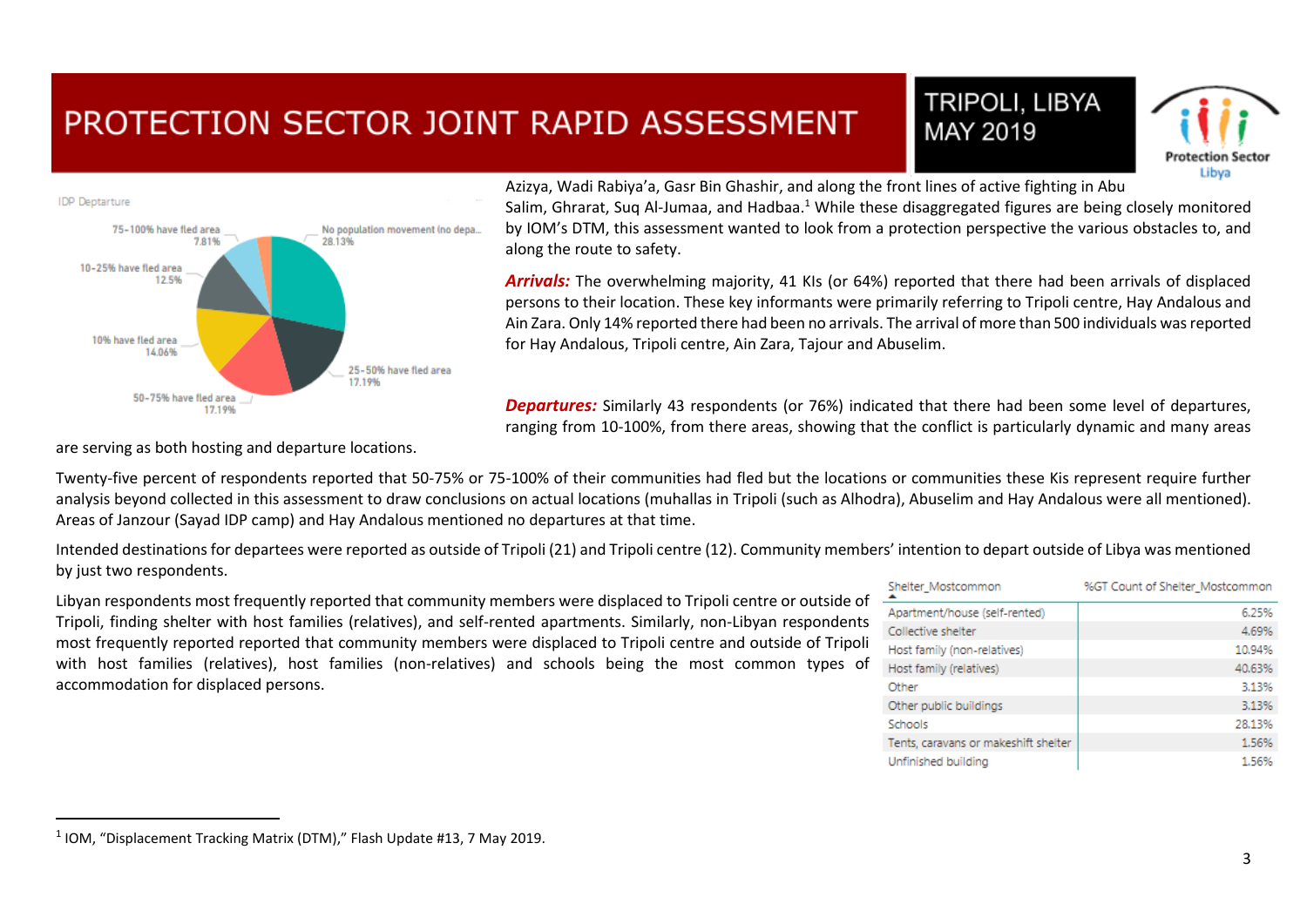





Azizya, Wadi Rabiya'a, Gasr Bin Ghashir, and along the front lines of active fighting in Abu Salim, Ghrarat, Sug Al-Jumaa, and Hadbaa.<sup>1</sup> While these disaggregated figures are being closely monitored by IOM's DTM, this assessment wanted to look from a protection perspective the various obstacles to, and along the route to safety.

*Arrivals:* The overwhelming majority, 41 KIs (or 64%) reported that there had been arrivals of displaced persons to their location. These key informants were primarily referring to Tripoli centre, Hay Andalous and Ain Zara. Only 14% reported there had been no arrivals. The arrival of more than 500 individuals was reported for Hay Andalous, Tripoli centre, Ain Zara, Tajour and Abuselim.

*Departures:* Similarly 43 respondents (or 76%) indicated that there had been some level of departures, ranging from 10-100%, from there areas, showing that the conflict is particularly dynamic and many areas

are serving as both hosting and departure locations.

Twenty-five percent of respondents reported that 50-75% or 75-100% of their communities had fled but the locations or communities these Kis represent require further analysis beyond collected in this assessment to draw conclusions on actual locations (muhallas in Tripoli (such as Alhodra), Abuselim and Hay Andalous were all mentioned). Areas of Janzour (Sayad IDP camp) and Hay Andalous mentioned no departures at that time.

Intended destinations for departees were reported as outside of Tripoli (21) and Tripoli centre (12). Community members' intention to depart outside of Libya was mentioned by just two respondents.

Libyan respondents most frequently reported that community members were displaced to Tripoli centre or outside of Tripoli, finding shelter with host families (relatives), and self-rented apartments. Similarly, non-Libyan respondents most frequently reported reported that community members were displaced to Tripoli centre and outside of Tripoli with host families (relatives), host families (non-relatives) and schools being the most common types of accommodation for displaced persons.

| Shelter_Mostcommon                   | %GT Count of Shelter_Mostcommon |
|--------------------------------------|---------------------------------|
| Apartment/house (self-rented)        | 6.25%                           |
| Collective shelter                   | 4.69%                           |
| Host family (non-relatives)          | 10.94%                          |
| Host family (relatives)              | 40.63%                          |
| Other                                | 3.13%                           |
| Other public buildings               | 3.13%                           |
| Schools                              | 28.13%                          |
| Tents, caravans or makeshift shelter | 1.56%                           |
| Unfinished building                  | 1.56%                           |

 $\overline{a}$ 

 $^1$  IOM, "Displacement Tracking Matrix (DTM)," Flash Update #13, 7 May 2019.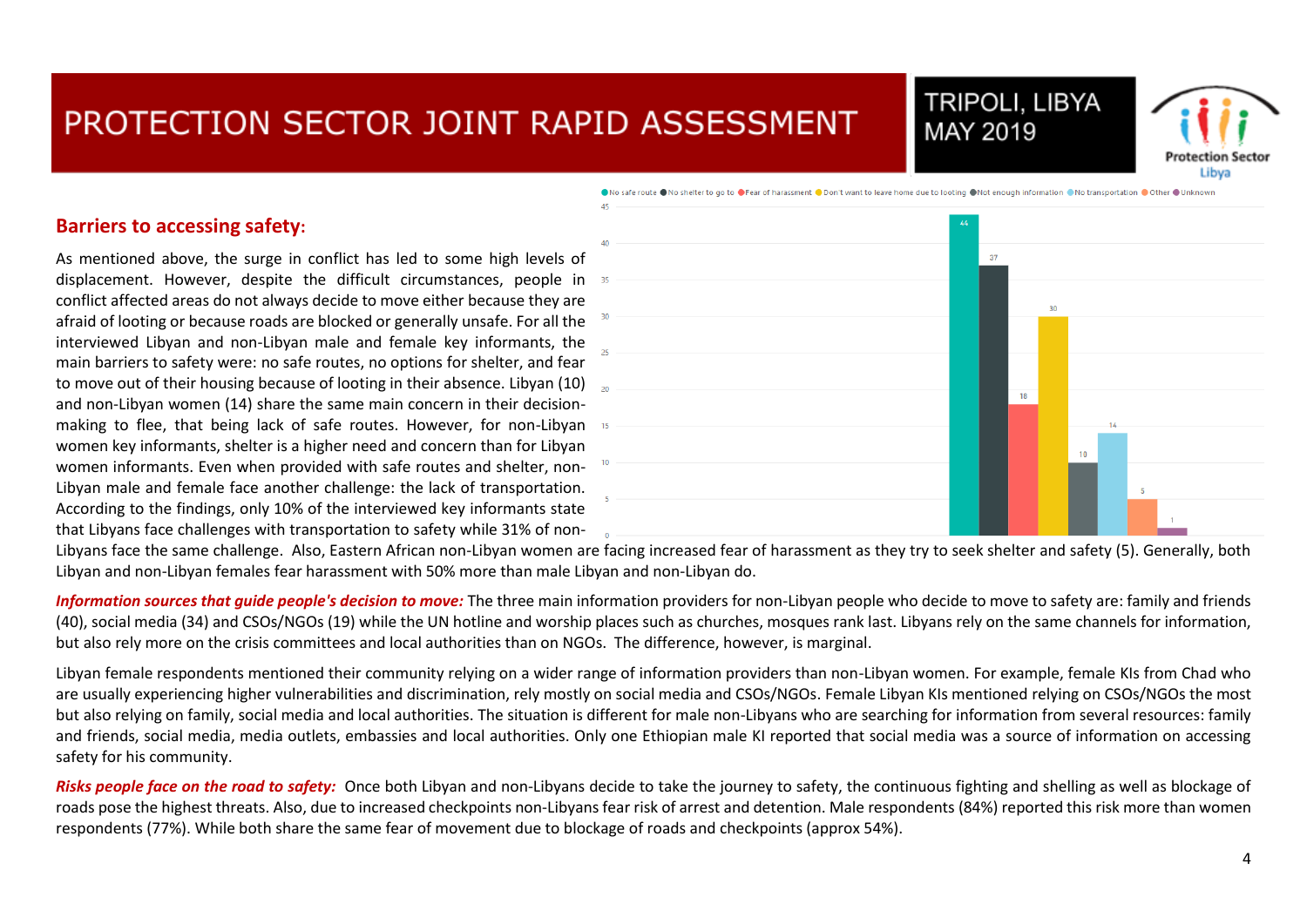



●No safe route ●No shelter to go to ●Fear of harassment ●Don't want to leave home due to looting ●Not enough information ●No transportation ●Other ●Unknown

#### **Barriers to accessing safety:**

As mentioned above, the surge in conflict has led to some high levels of displacement. However, despite the difficult circumstances, people in conflict affected areas do not always decide to move either because they are afraid of looting or because roads are blocked or generally unsafe. For all the interviewed Libyan and non-Libyan male and female key informants, the main barriers to safety were: no safe routes, no options for shelter, and fear to move out of their housing because of looting in their absence. Libyan (10) and and non-Libyan women (14) share the same main concern in their decisionmaking to flee, that being lack of safe routes. However, for non-Libyan women key informants, shelter is a higher need and concern than for Libyan women informants. Even when provided with safe routes and shelter, non-Libyan male and female face another challenge: the lack of transportation. According to the findings, only 10% of the interviewed key informants state that Libyans face challenges with transportation to safety while 31% of non-



Libyans face the same challenge. Also, Eastern African non-Libyan women are facing increased fear of harassment as they try to seek shelter and safety (5). Generally, both Libyan and non-Libyan females fear harassment with 50% more than male Libyan and non-Libyan do.

*Information sources that guide people's decision to move:* The three main information providers for non-Libyan people who decide to move to safety are: family and friends (40), social media (34) and CSOs/NGOs (19) while the UN hotline and worship places such as churches, mosques rank last. Libyans rely on the same channels for information, but also rely more on the crisis committees and local authorities than on NGOs. The difference, however, is marginal.

Libyan female respondents mentioned their community relying on a wider range of information providers than non-Libyan women. For example, female KIs from Chad who are usually experiencing higher vulnerabilities and discrimination, rely mostly on social media and CSOs/NGOs. Female Libyan KIs mentioned relying on CSOs/NGOs the most but also relying on family, social media and local authorities. The situation is different for male non-Libyans who are searching for information from several resources: family and friends, social media, media outlets, embassies and local authorities. Only one Ethiopian male KI reported that social media was a source of information on accessing safety for his community.

*Risks people face on the road to safety*: Once both Libyan and non-Libyans decide to take the journey to safety, the continuous fighting and shelling as well as blockage of roads pose the highest threats. Also, due to increased checkpoints non-Libyans fear risk of arrest and detention. Male respondents (84%) reported this risk more than women respondents (77%). While both share the same fear of movement due to blockage of roads and checkpoints (approx 54%).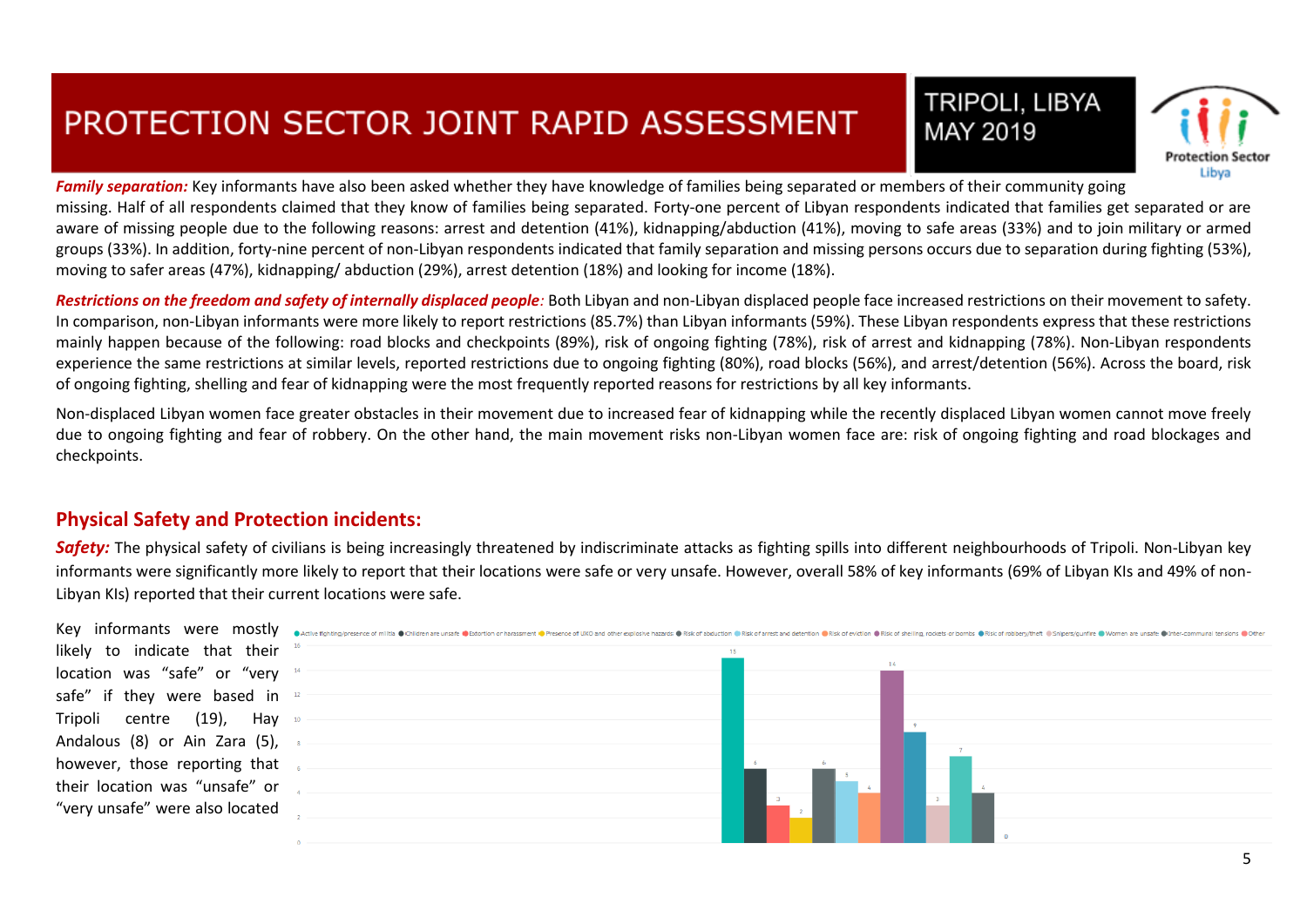



*Family separation:* Key informants have also been asked whether they have knowledge of families being separated or members of their community going missing. Half of all respondents claimed that they know of families being separated. Forty-one percent of Libyan respondents indicated that families get separated or are aware of missing people due to the following reasons: arrest and detention (41%), kidnapping/abduction (41%), moving to safe areas (33%) and to join military or armed groups (33%). In addition, forty-nine percent of non-Libyan respondents indicated that family separation and missing persons occurs due to separation during fighting (53%), moving to safer areas (47%), kidnapping/ abduction (29%), arrest detention (18%) and looking for income (18%).

*Restrictions on the freedom and safety of internally displaced people:* Both Libyan and non-Libyan displaced people face increased restrictions on their movement to safety. In comparison, non-Libyan informants were more likely to report restrictions (85.7%) than Libyan informants (59%). These Libyan respondents express that these restrictions mainly happen because of the following: road blocks and checkpoints (89%), risk of ongoing fighting (78%), risk of arrest and kidnapping (78%). Non-Libyan respondents experience the same restrictions at similar levels, reported restrictions due to ongoing fighting (80%), road blocks (56%), and arrest/detention (56%). Across the board, risk of ongoing fighting, shelling and fear of kidnapping were the most frequently reported reasons for restrictions by all key informants.

Non-displaced Libyan women face greater obstacles in their movement due to increased fear of kidnapping while the recently displaced Libyan women cannot move freely due to ongoing fighting and fear of robbery. On the other hand, the main movement risks non-Libyan women face are: risk of ongoing fighting and road blockages and checkpoints.

#### **Physical Safety and Protection incidents:**

*Safety:* The physical safety of civilians is being increasingly threatened by indiscriminate attacks as fighting spills into different neighbourhoods of Tripoli. Non-Libyan key informants were significantly more likely to report that their locations were safe or very unsafe. However, overall 58% of key informants (69% of Libyan KIs and 49% of non-Libyan KIs) reported that their current locations were safe.

likely to indicate that their location was "safe" or "very safe" if they were based in Tripoli centre (19), Hay Andalous (8) or Ain Zara (5), however, those reporting that their location was "unsafe" or "very unsafe" were also located

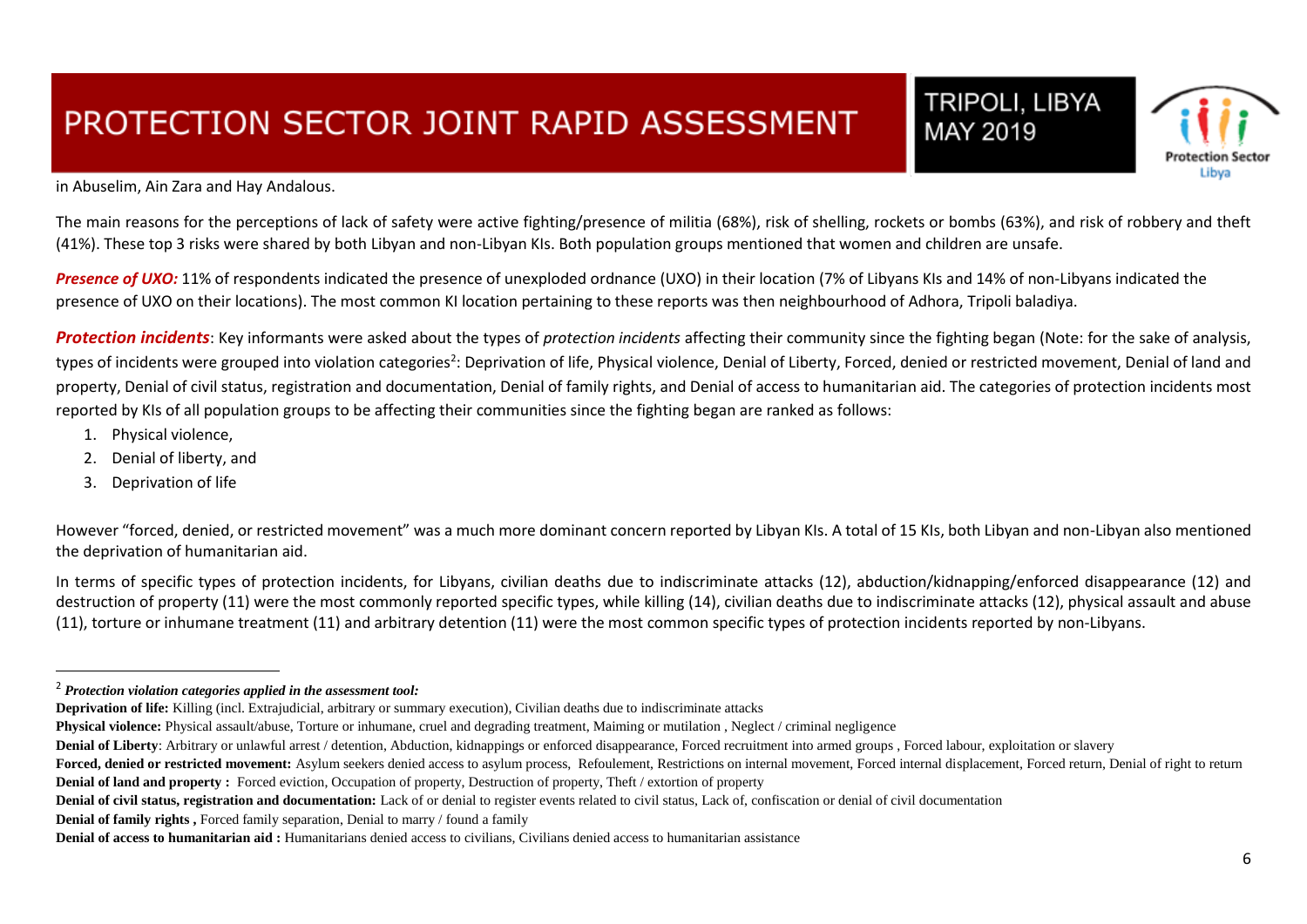TRIPOLI, LIBYA MAY 2019



in Abuselim, Ain Zara and Hay Andalous.

The main reasons for the perceptions of lack of safety were active fighting/presence of militia (68%), risk of shelling, rockets or bombs (63%), and risk of robbery and theft (41%). These top 3 risks were shared by both Libyan and non-Libyan KIs. Both population groups mentioned that women and children are unsafe.

**Presence of UXO:** 11% of respondents indicated the presence of unexploded ordnance (UXO) in their location (7% of Libyans KIs and 14% of non-Libyans indicated the presence of UXO on their locations). The most common KI location pertaining to these reports was then neighbourhood of Adhora, Tripoli baladiya.

*Protection incidents*: Key informants were asked about the types of *protection incidents* affecting their community since the fighting began (Note: for the sake of analysis, types of incidents were grouped into violation categories<sup>2</sup>: Deprivation of life, Physical violence, Denial of Liberty, Forced, denied or restricted movement, Denial of land and property, Denial of civil status, registration and documentation, Denial of family rights, and Denial of access to humanitarian aid. The categories of protection incidents most reported by KIs of all population groups to be affecting their communities since the fighting began are ranked as follows:

- 1. Physical violence,
- 2. Denial of liberty, and
- 3. Deprivation of life

 $\overline{a}$ 

However "forced, denied, or restricted movement" was a much more dominant concern reported by Libyan KIs. A total of 15 KIs, both Libyan and non-Libyan also mentioned the deprivation of humanitarian aid.

In terms of specific types of protection incidents, for Libyans, civilian deaths due to indiscriminate attacks (12), abduction/kidnapping/enforced disappearance (12) and destruction of property (11) were the most commonly reported specific types, while killing (14), civilian deaths due to indiscriminate attacks (12), physical assault and abuse (11), torture or inhumane treatment (11) and arbitrary detention (11) were the most common specific types of protection incidents reported by non-Libyans.

**Denial of family rights**, Forced family separation, Denial to marry / found a family

<sup>2</sup> *Protection violation categories applied in the assessment tool:*

**Deprivation of life:** Killing (incl. Extrajudicial, arbitrary or summary execution), Civilian deaths due to indiscriminate attacks

**Physical violence:** Physical assault/abuse, Torture or inhumane, cruel and degrading treatment, Maiming or mutilation, Neglect / criminal negligence

Denial of Liberty: Arbitrary or unlawful arrest / detention, Abduction, kidnappings or enforced disappearance, Forced recruitment into armed groups, Forced labour, exploitation or slavery

Forced, denied or restricted movement: Asylum seekers denied access to asylum process. Refoulement, Restrictions on internal movement, Forced internal displacement, Forced return, Denial of right to return **Denial of land and property :** Forced eviction, Occupation of property, Destruction of property, Theft / extortion of property

**Denial of civil status, registration and documentation:** Lack of or denial to register events related to civil status, Lack of, confiscation or denial of civil documentation

**Denial of access to humanitarian aid :** Humanitarians denied access to civilians, Civilians denied access to humanitarian assistance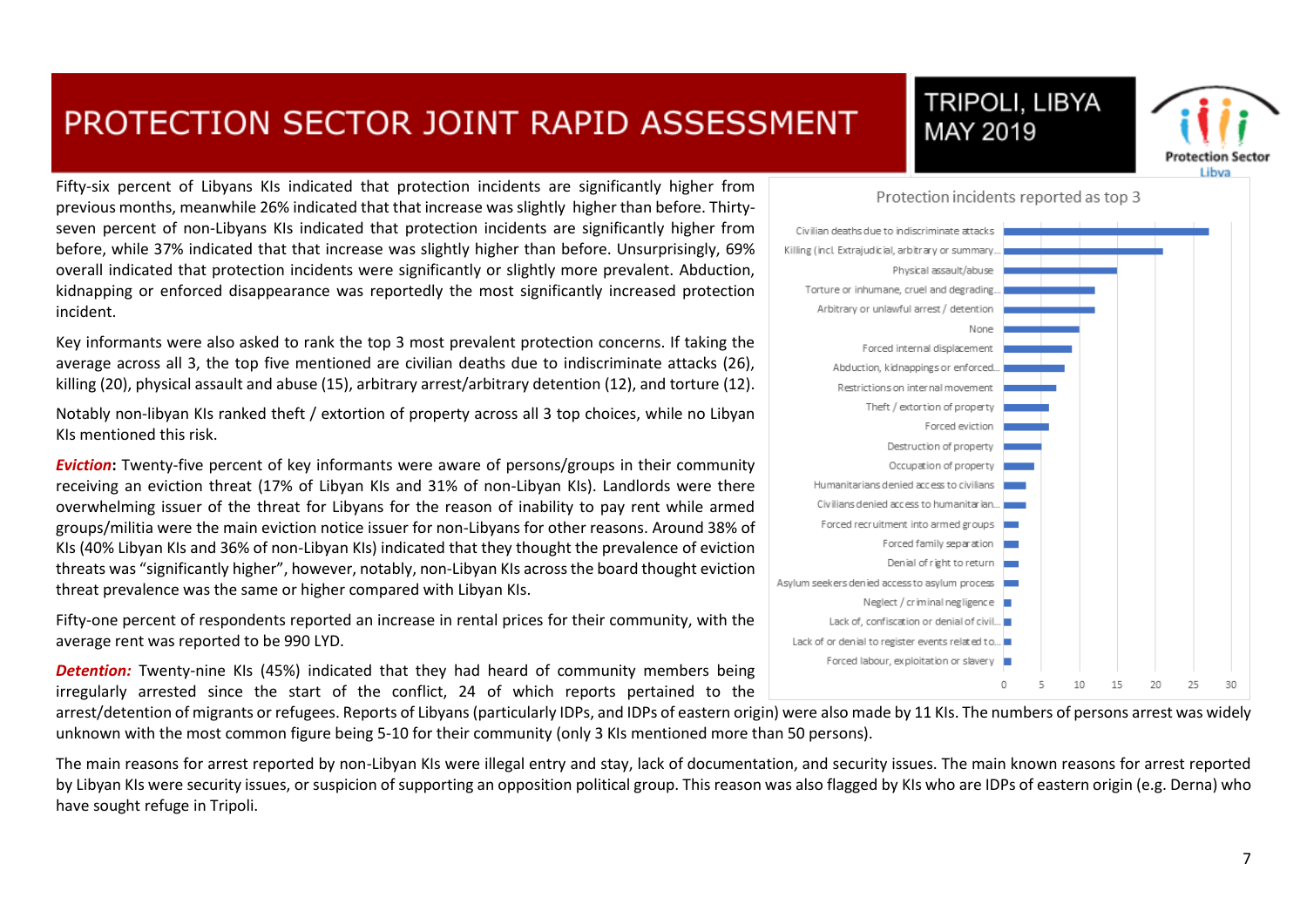Fifty-six percent of Libyans KIs indicated that protection incidents are significantly higher from previous months, meanwhile 26% indicated that that increase was slightly higher than before. Thirtyseven percent of non-Libyans KIs indicated that protection incidents are significantly higher from before, while 37% indicated that that increase was slightly higher than before. Unsurprisingly, 69% overall indicated that protection incidents were significantly or slightly more prevalent. Abduction, kidnapping or enforced disappearance was reportedly the most significantly increased protection incident.

Key informants were also asked to rank the top 3 most prevalent protection concerns. If taking the average across all 3, the top five mentioned are civilian deaths due to indiscriminate attacks (26), killing (20), physical assault and abuse (15), arbitrary arrest/arbitrary detention (12), and torture (12).

Notably non-libyan KIs ranked theft / extortion of property across all 3 top choices, while no Libyan KIs mentioned this risk.

*Eviction***:** Twenty-five percent of key informants were aware of persons/groups in their community receiving an eviction threat (17% of Libyan KIs and 31% of non-Libyan KIs). Landlords were there overwhelming issuer of the threat for Libyans for the reason of inability to pay rent while armed groups/militia were the main eviction notice issuer for non-Libyans for other reasons. Around 38% of KIs (40% Libyan KIs and 36% of non-Libyan KIs) indicated that they thought the prevalence of eviction threats was "significantly higher", however, notably, non-Libyan KIs across the board thought eviction threat prevalence was the same or higher compared with Libyan KIs.

Fifty-one percent of respondents reported an increase in rental prices for their community, with the average rent was reported to be 990 LYD.

*Detention:* Twenty-nine KIs (45%) indicated that they had heard of community members being irregularly arrested since the start of the conflict, 24 of which reports pertained to the

arrest/detention of migrants or refugees. Reports of Libyans (particularly IDPs, and IDPs of eastern origin) were also made by 11 KIs. The numbers of persons arrest was widely unknown with the most common figure being 5-10 for their community (only 3 KIs mentioned more than 50 persons).

The main reasons for arrest reported by non-Libyan KIs were illegal entry and stay, lack of documentation, and security issues. The main known reasons for arrest reported by Libyan KIs were security issues, or suspicion of supporting an opposition political group. This reason was also flagged by KIs who are IDPs of eastern origin (e.g. Derna) who have sought refuge in Tripoli.



MAY 2019

**TRIPOLI, LIBYA** 



t ikun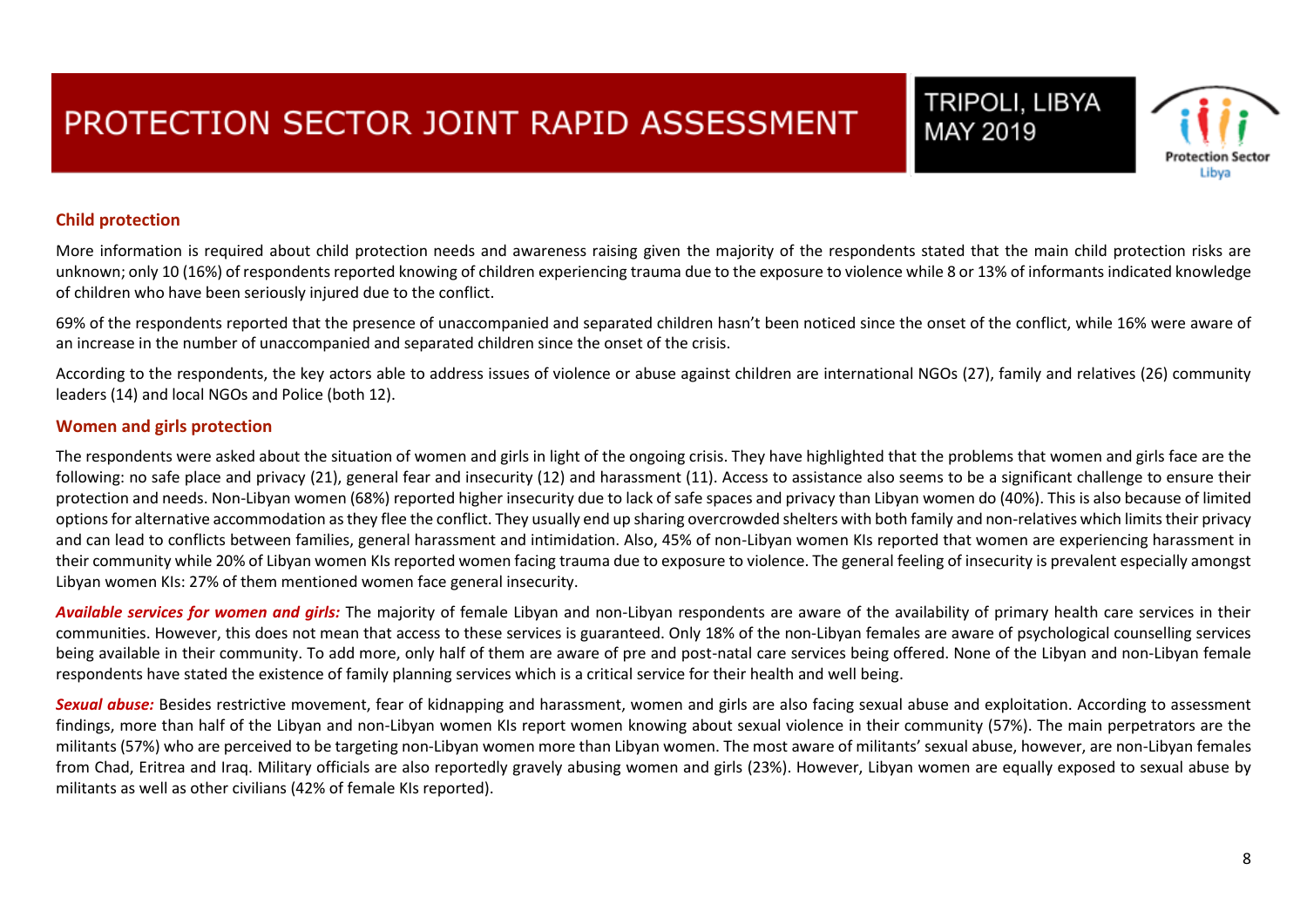# Protection Se Libva

TRIPOLI, LIBYA

MAY 2019

#### **Child protection**

More information is required about child protection needs and awareness raising given the majority of the respondents stated that the main child protection risks are unknown; only 10 (16%) of respondents reported knowing of children experiencing trauma due to the exposure to violence while 8 or 13% of informants indicated knowledge of children who have been seriously injured due to the conflict.

69% of the respondents reported that the presence of unaccompanied and separated children hasn't been noticed since the onset of the conflict, while 16% were aware of an increase in the number of unaccompanied and separated children since the onset of the crisis.

According to the respondents, the key actors able to address issues of violence or abuse against children are international NGOs (27), family and relatives (26) community leaders (14) and local NGOs and Police (both 12).

#### **Women and girls protection**

The respondents were asked about the situation of women and girls in light of the ongoing crisis. They have highlighted that the problems that women and girls face are the following: no safe place and privacy (21), general fear and insecurity (12) and harassment (11). Access to assistance also seems to be a significant challenge to ensure their protection and needs. Non-Libyan women (68%) reported higher insecurity due to lack of safe spaces and privacy than Libyan women do (40%). This is also because of limited options for alternative accommodation as they flee the conflict. They usually end up sharing overcrowded shelters with both family and non-relatives which limits their privacy and can lead to conflicts between families, general harassment and intimidation. Also, 45% of non-Libyan women KIs reported that women are experiencing harassment in their community while 20% of Libyan women KIs reported women facing trauma due to exposure to violence. The general feeling of insecurity is prevalent especially amongst Libyan women KIs: 27% of them mentioned women face general insecurity.

*Available services for women and girls:* The majority of female Libyan and non-Libyan respondents are aware of the availability of primary health care services in their communities. However, this does not mean that access to these services is guaranteed. Only 18% of the non-Libyan females are aware of psychological counselling services being available in their community. To add more, only half of them are aware of pre and post-natal care services being offered. None of the Libyan and non-Libyan female respondents have stated the existence of family planning services which is a critical service for their health and well being.

*Sexual abuse:* Besides restrictive movement, fear of kidnapping and harassment, women and girls are also facing sexual abuse and exploitation. According to assessment findings, more than half of the Libyan and non-Libyan women KIs report women knowing about sexual violence in their community (57%). The main perpetrators are the militants (57%) who are perceived to be targeting non-Libyan women more than Libyan women. The most aware of militants' sexual abuse, however, are non-Libyan females from Chad, Eritrea and Iraq. Military officials are also reportedly gravely abusing women and girls (23%). However, Libyan women are equally exposed to sexual abuse by militants as well as other civilians (42% of female KIs reported).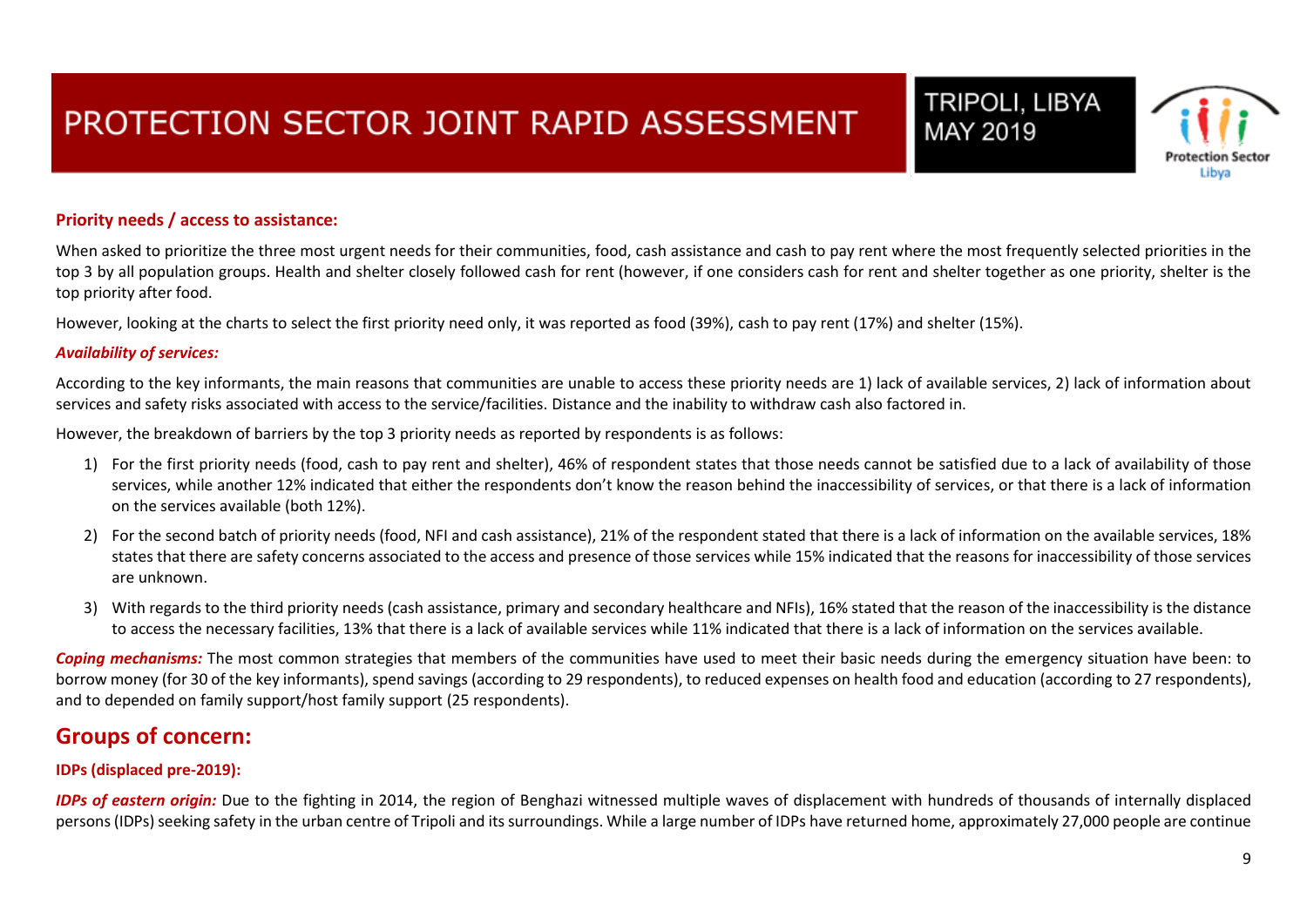### TRIPOLI, LIBYA Protection Se Libva

MAY 2019

#### **Priority needs / access to assistance:**

When asked to prioritize the three most urgent needs for their communities, food, cash assistance and cash to pay rent where the most frequently selected priorities in the top 3 by all population groups. Health and shelter closely followed cash for rent (however, if one considers cash for rent and shelter together as one priority, shelter is the top priority after food.

However, looking at the charts to select the first priority need only, it was reported as food (39%), cash to pay rent (17%) and shelter (15%).

#### *Availability of services:*

According to the key informants, the main reasons that communities are unable to access these priority needs are 1) lack of available services, 2) lack of information about services and safety risks associated with access to the service/facilities. Distance and the inability to withdraw cash also factored in.

However, the breakdown of barriers by the top 3 priority needs as reported by respondents is as follows:

- 1) For the first priority needs (food, cash to pay rent and shelter), 46% of respondent states that those needs cannot be satisfied due to a lack of availability of those services, while another 12% indicated that either the respondents don't know the reason behind the inaccessibility of services, or that there is a lack of information on the services available (both 12%).
- 2) For the second batch of priority needs (food, NFI and cash assistance), 21% of the respondent stated that there is a lack of information on the available services, 18% states that there are safety concerns associated to the access and presence of those services while 15% indicated that the reasons for inaccessibility of those services are unknown.
- 3) With regards to the third priority needs (cash assistance, primary and secondary healthcare and NFIs), 16% stated that the reason of the inaccessibility is the distance to access the necessary facilities, 13% that there is a lack of available services while 11% indicated that there is a lack of information on the services available.

Coping mechanisms: The most common strategies that members of the communities have used to meet their basic needs during the emergency situation have been: to borrow money (for 30 of the key informants), spend savings (according to 29 respondents), to reduced expenses on health food and education (according to 27 respondents), and to depended on family support/host family support (25 respondents).

### **Groups of concern:**

#### **IDPs (displaced pre-2019):**

*IDPs of eastern origin:* Due to the fighting in 2014, the region of Benghazi witnessed multiple waves of displacement with hundreds of thousands of internally displaced persons (IDPs) seeking safety in the urban centre of Tripoli and its surroundings. While a large number of IDPs have returned home, approximately 27,000 people are continue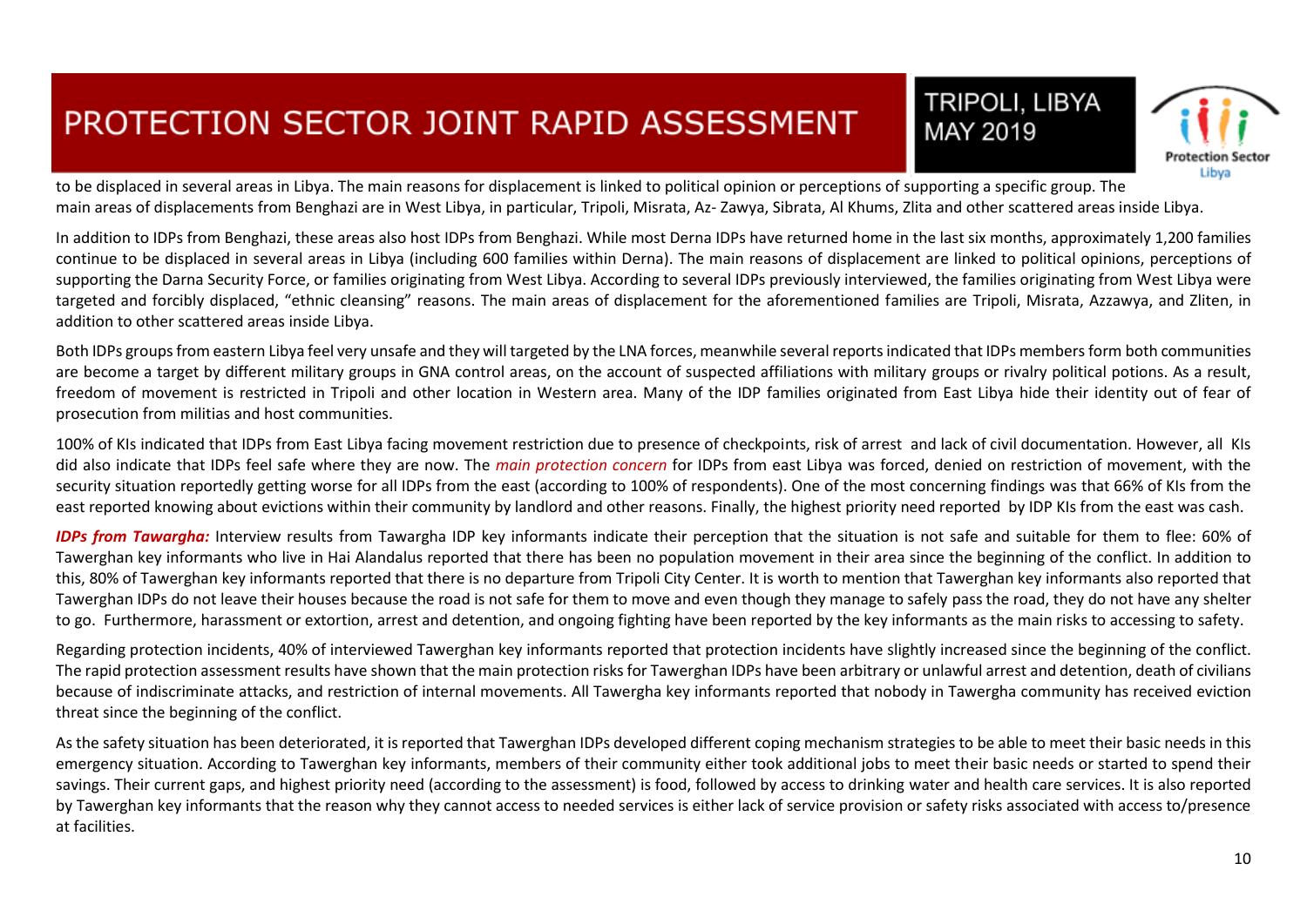



to be displaced in several areas in Libya. The main reasons for displacement is linked to political opinion or perceptions of supporting a specific group. The main areas of displacements from Benghazi are in West Libya, in particular, Tripoli, Misrata, Az- Zawya, Sibrata, Al Khums, Zlita and other scattered areas inside Libya.

In addition to IDPs from Benghazi, these areas also host IDPs from Benghazi. While most Derna IDPs have returned home in the last six months, approximately 1,200 families continue to be displaced in several areas in Libya (including 600 families within Derna). The main reasons of displacement are linked to political opinions, perceptions of supporting the Darna Security Force, or families originating from West Libya. According to several IDPs previously interviewed, the families originating from West Libya were targeted and forcibly displaced, "ethnic cleansing" reasons. The main areas of displacement for the aforementioned families are Tripoli, Misrata, Azzawya, and Zliten, in addition to other scattered areas inside Libya.

Both IDPs groups from eastern Libya feel very unsafe and they will targeted by the LNA forces, meanwhile several reports indicated that IDPs members form both communities are become a target by different military groups in GNA control areas, on the account of suspected affiliations with military groups or rivalry political potions. As a result, freedom of movement is restricted in Tripoli and other location in Western area. Many of the IDP families originated from East Libya hide their identity out of fear of prosecution from militias and host communities.

100% of KIs indicated that IDPs from East Libya facing movement restriction due to presence of checkpoints, risk of arrest and lack of civil documentation. However, all KIs did also indicate that IDPs feel safe where they are now. The *main protection concern* for IDPs from east Libya was forced, denied on restriction of movement, with the security situation reportedly getting worse for all IDPs from the east (according to 100% of respondents). One of the most concerning findings was that 66% of KIs from the east reported knowing about evictions within their community by landlord and other reasons. Finally, the highest priority need reported by IDP KIs from the east was cash.

*IDPs from Tawargha:* Interview results from Tawargha IDP key informants indicate their perception that the situation is not safe and suitable for them to flee: 60% of Tawerghan key informants who live in Hai Alandalus reported that there has been no population movement in their area since the beginning of the conflict. In addition to this, 80% of Tawerghan key informants reported that there is no departure from Tripoli City Center. It is worth to mention that Tawerghan key informants also reported that Tawerghan IDPs do not leave their houses because the road is not safe for them to move and even though they manage to safely pass the road, they do not have any shelter to go. Furthermore, harassment or extortion, arrest and detention, and ongoing fighting have been reported by the key informants as the main risks to accessing to safety.

Regarding protection incidents, 40% of interviewed Tawerghan key informants reported that protection incidents have slightly increased since the beginning of the conflict. The rapid protection assessment results have shown that the main protection risks for Tawerghan IDPs have been arbitrary or unlawful arrest and detention, death of civilians because of indiscriminate attacks, and restriction of internal movements. All Tawergha key informants reported that nobody in Tawergha community has received eviction threat since the beginning of the conflict.

As the safety situation has been deteriorated, it is reported that Tawerghan IDPs developed different coping mechanism strategies to be able to meet their basic needs in this emergency situation. According to Tawerghan key informants, members of their community either took additional jobs to meet their basic needs or started to spend their savings. Their current gaps, and highest priority need (according to the assessment) is food, followed by access to drinking water and health care services. It is also reported by Tawerghan key informants that the reason why they cannot access to needed services is either lack of service provision or safety risks associated with access to/presence at facilities.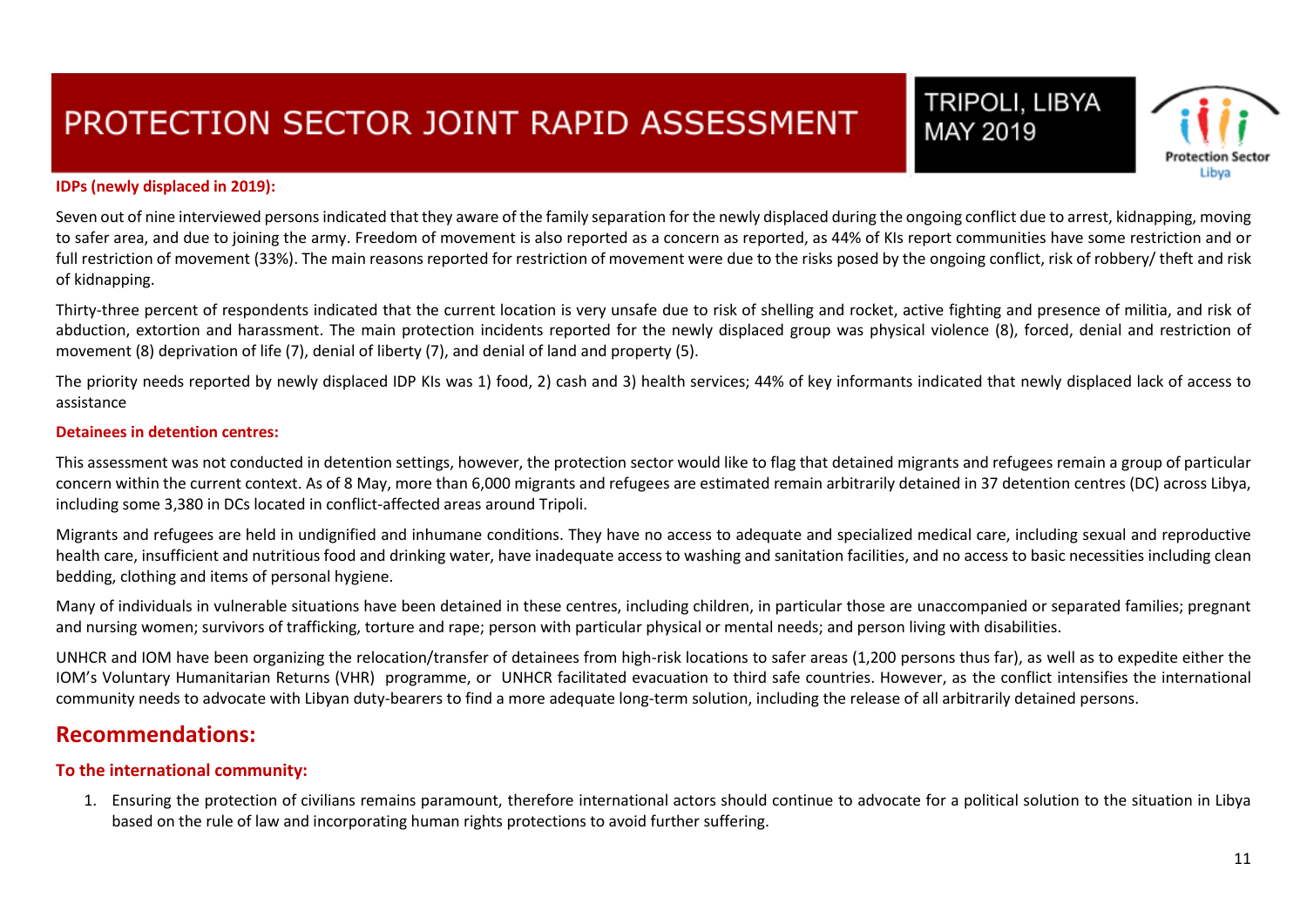# Protection Se Libva

TRIPOLI, LIBYA

MAY 2019

#### **IDPs (newly displaced in 2019):**

Seven out of nine interviewed persons indicated that they aware of the family separation for the newly displaced during the ongoing conflict due to arrest, kidnapping, moving to safer area, and due to joining the army. Freedom of movement is also reported as a concern as reported, as 44% of KIs report communities have some restriction and or full restriction of movement (33%). The main reasons reported for restriction of movement were due to the risks posed by the ongoing conflict, risk of robbery/ theft and risk of kidnapping.

Thirty-three percent of respondents indicated that the current location is very unsafe due to risk of shelling and rocket, active fighting and presence of militia, and risk of abduction, extortion and harassment. The main protection incidents reported for the newly displaced group was physical violence (8), forced, denial and restriction of movement (8) deprivation of life (7), denial of liberty (7), and denial of land and property (5).

The priority needs reported by newly displaced IDP KIs was 1) food, 2) cash and 3) health services; 44% of key informants indicated that newly displaced lack of access to assistance

#### **Detainees in detention centres:**

This assessment was not conducted in detention settings, however, the protection sector would like to flag that detained migrants and refugees remain a group of particular concern within the current context. As of 8 May, more than 6,000 migrants and refugees are estimated remain arbitrarily detained in 37 detention centres (DC) across Libya, including some 3,380 in DCs located in conflict-affected areas around Tripoli.

Migrants and refugees are held in undignified and inhumane conditions. They have no access to adequate and specialized medical care, including sexual and reproductive health care, insufficient and nutritious food and drinking water, have inadequate access to washing and sanitation facilities, and no access to basic necessities including clean bedding, clothing and items of personal hygiene.

Many of individuals in vulnerable situations have been detained in these centres, including children, in particular those are unaccompanied or separated families; pregnant and nursing women; survivors of trafficking, torture and rape; person with particular physical or mental needs; and person living with disabilities.

UNHCR and IOM have been organizing the relocation/transfer of detainees from high-risk locations to safer areas (1,200 persons thus far), as well as to expedite either the IOM's Voluntary Humanitarian Returns (VHR) programme, or UNHCR facilitated evacuation to third safe countries. However, as the conflict intensifies the international community needs to advocate with Libyan duty-bearers to find a more adequate long-term solution, including the release of all arbitrarily detained persons.

### **Recommendations:**

#### **To the international community:**

1. Ensuring the protection of civilians remains paramount, therefore international actors should continue to advocate for a political solution to the situation in Libya based on the rule of law and incorporating human rights protections to avoid further suffering.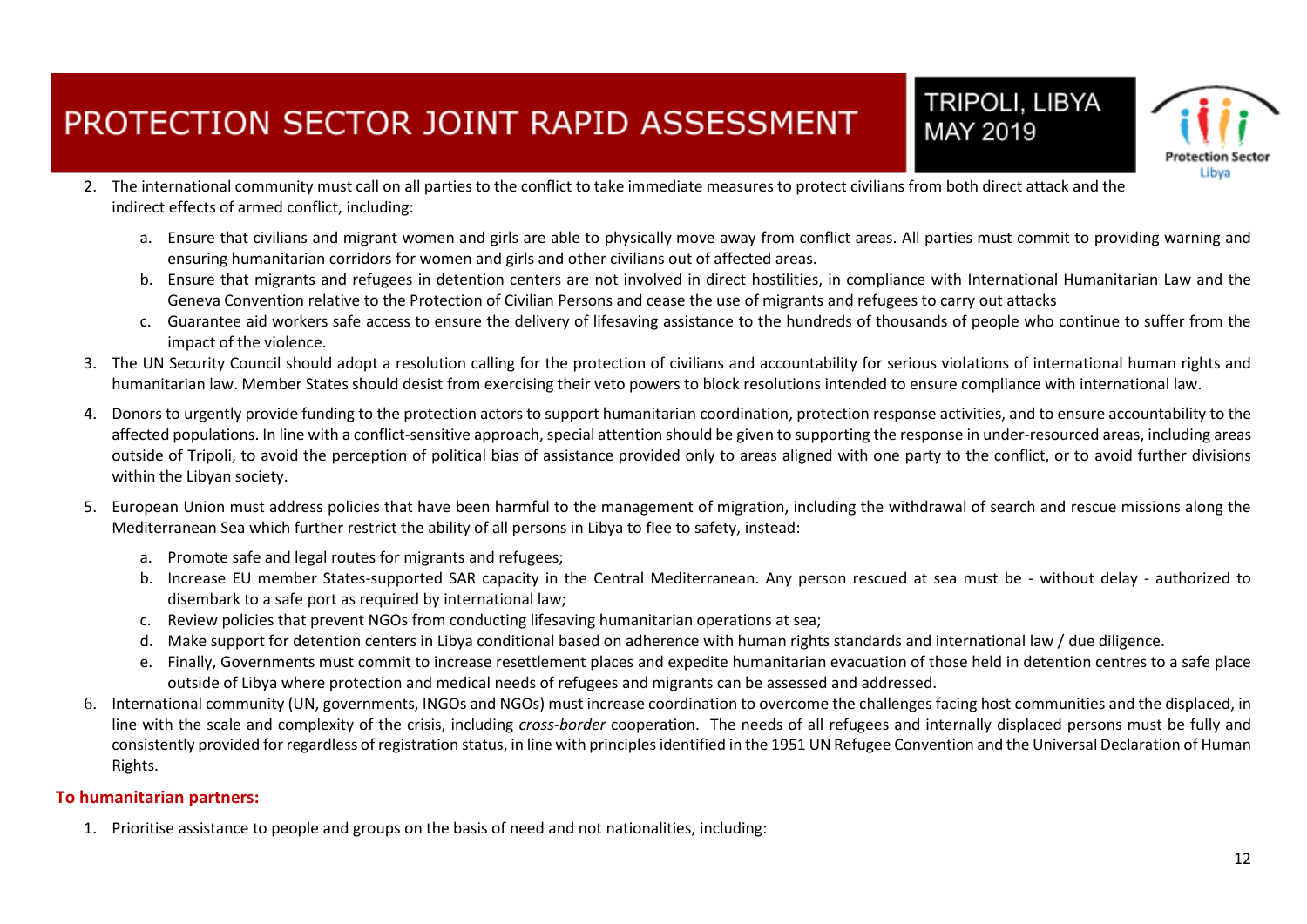

TRIPOLI, LIBYA

MAY 2019

- 2. The international community must call on all parties to the conflict to take immediate measures to protect civilians from both direct attack and the indirect effects of armed conflict, including:
	- a. Ensure that civilians and migrant women and girls are able to physically move away from conflict areas. All parties must commit to providing warning and ensuring humanitarian corridors for women and girls and other civilians out of affected areas.
	- b. Ensure that migrants and refugees in detention centers are not involved in direct hostilities, in compliance with International Humanitarian Law and the Geneva Convention relative to the Protection of Civilian Persons and cease the use of migrants and refugees to carry out attacks
	- c. Guarantee aid workers safe access to ensure the delivery of lifesaving assistance to the hundreds of thousands of people who continue to suffer from the impact of the violence.
- 3. The UN Security Council should adopt a resolution calling for the protection of civilians and accountability for serious violations of international human rights and humanitarian law. Member States should desist from exercising their veto powers to block resolutions intended to ensure compliance with international law.
- 4. Donors to urgently provide funding to the protection actors to support humanitarian coordination, protection response activities, and to ensure accountability to the affected populations. In line with a conflict-sensitive approach, special attention should be given to supporting the response in under-resourced areas, including areas outside of Tripoli, to avoid the perception of political bias of assistance provided only to areas aligned with one party to the conflict, or to avoid further divisions within the Libyan society.
- 5. European Union must address policies that have been harmful to the management of migration, including the withdrawal of search and rescue missions along the Mediterranean Sea which further restrict the ability of all persons in Libya to flee to safety, instead:
	- a. Promote safe and legal routes for migrants and refugees;
	- b. Increase EU member States-supported SAR capacity in the Central Mediterranean. Any person rescued at sea must be without delay authorized to disembark to a safe port as required by international law;
	- c. Review policies that prevent NGOs from conducting lifesaving humanitarian operations at sea;
	- d. Make support for detention centers in Libya conditional based on adherence with human rights standards and international law / due diligence.
	- e. Finally, Governments must commit to increase resettlement places and expedite humanitarian evacuation of those held in detention centres to a safe place outside of Libya where protection and medical needs of refugees and migrants can be assessed and addressed.
- 6. International community (UN, governments, INGOs and NGOs) must increase coordination to overcome the challenges facing host communities and the displaced, in line with the scale and complexity of the crisis, including *cross-border* cooperation. The needs of all refugees and internally displaced persons must be fully and consistently provided for regardless of registration status, in line with principles identified in the 1951 UN Refugee Convention and the Universal Declaration of Human Rights.

#### **To humanitarian partners:**

1. Prioritise assistance to people and groups on the basis of need and not nationalities, including: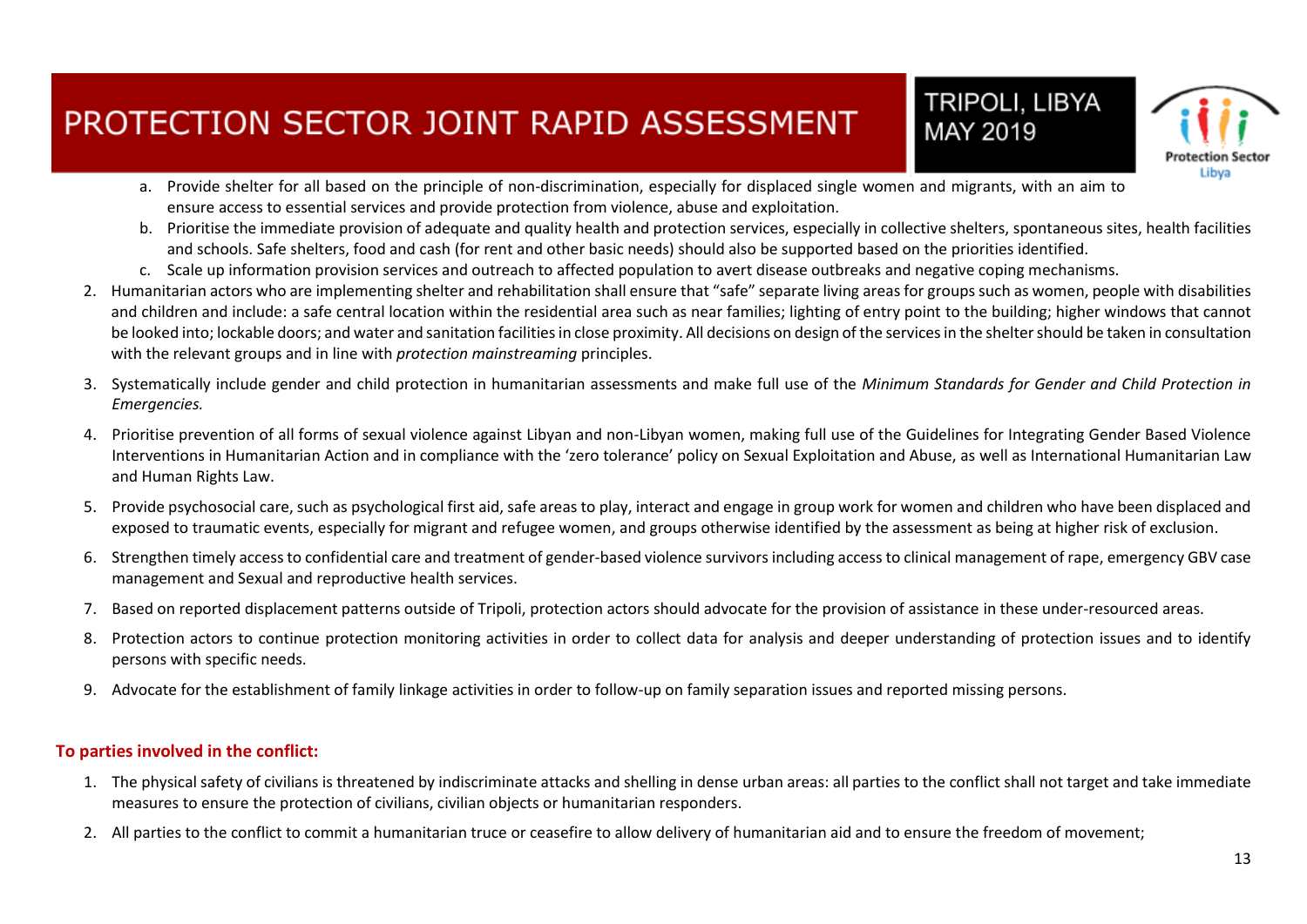

MAY 2019

- a. Provide shelter for all based on the principle of non-discrimination, especially for displaced single women and migrants, with an aim to ensure access to essential services and provide protection from violence, abuse and exploitation.
- b. Prioritise the immediate provision of adequate and quality health and protection services, especially in collective shelters, spontaneous sites, health facilities and schools. Safe shelters, food and cash (for rent and other basic needs) should also be supported based on the priorities identified.
- c. Scale up information provision services and outreach to affected population to avert disease outbreaks and negative coping mechanisms.
- 2. Humanitarian actors who are implementing shelter and rehabilitation shall ensure that "safe" separate living areas for groups such as women, people with disabilities and children and include: a safe central location within the residential area such as near families; lighting of entry point to the building; higher windows that cannot be looked into; lockable doors; and water and sanitation facilities in close proximity. All decisions on design of the services in the shelter should be taken in consultation with the relevant groups and in line with *protection mainstreaming* principles.
- 3. Systematically include gender and child protection in humanitarian assessments and make full use of the *Minimum Standards for Gender and Child Protection in Emergencies.*
- 4. Prioritise prevention of all forms of sexual violence against Libyan and non-Libyan women, making full use of the Guidelines for Integrating Gender Based Violence Interventions in Humanitarian Action and in compliance with the 'zero tolerance' policy on Sexual Exploitation and Abuse, as well as International Humanitarian Law and Human Rights Law.
- 5. Provide psychosocial care, such as psychological first aid, safe areas to play, interact and engage in group work for women and children who have been displaced and exposed to traumatic events, especially for migrant and refugee women, and groups otherwise identified by the assessment as being at higher risk of exclusion.
- 6. Strengthen timely access to confidential care and treatment of gender-based violence survivors including access to clinical management of rape, emergency GBV case management and Sexual and reproductive health services.
- 7. Based on reported displacement patterns outside of Tripoli, protection actors should advocate for the provision of assistance in these under-resourced areas.
- 8. Protection actors to continue protection monitoring activities in order to collect data for analysis and deeper understanding of protection issues and to identify persons with specific needs.
- 9. Advocate for the establishment of family linkage activities in order to follow-up on family separation issues and reported missing persons.

#### **To parties involved in the conflict:**

- 1. The physical safety of civilians is threatened by indiscriminate attacks and shelling in dense urban areas: all parties to the conflict shall not target and take immediate measures to ensure the protection of civilians, civilian objects or humanitarian responders.
- 2. All parties to the conflict to commit a humanitarian truce or ceasefire to allow delivery of humanitarian aid and to ensure the freedom of movement;